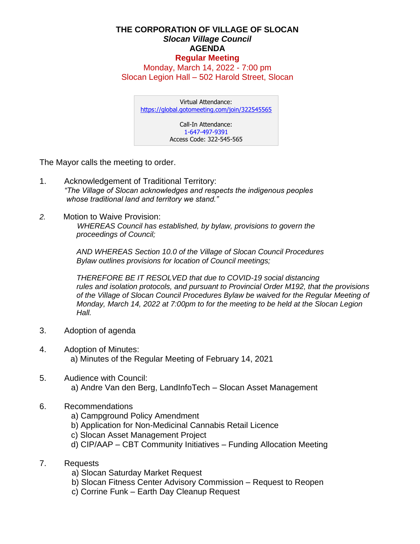## **THE CORPORATION OF VILLAGE OF SLOCAN** *Slocan Village Council*  **AGENDA Regular Meeting**

Monday, March 14, 2022 - 7:00 pm Slocan Legion Hall – 502 Harold Street, Slocan

Virtual Attendance: <https://global.gotomeeting.com/join/322545565> Call-In Attendance: 1-647-497-9391 Access Code: 322-545-565

The Mayor calls the meeting to order.

- 1. Acknowledgement of Traditional Territory: *"The Village of Slocan acknowledges and respects the indigenous peoples whose traditional land and territory we stand."*
- *2.* Motion to Waive Provision:

 *WHEREAS Council has established, by bylaw, provisions to govern the proceedings of Council;*

*AND WHEREAS Section 10.0 of the Village of Slocan Council Procedures Bylaw outlines provisions for location of Council meetings;*

*THEREFORE BE IT RESOLVED that due to COVID-19 social distancing rules and isolation protocols, and pursuant to Provincial Order M192, that the provisions of the Village of Slocan Council Procedures Bylaw be waived for the Regular Meeting of Monday, March 14, 2022 at 7:00pm to for the meeting to be held at the Slocan Legion Hall.*

- 3. Adoption of agenda
- 4. Adoption of Minutes: a) Minutes of the Regular Meeting of February 14, 2021
- 5. Audience with Council: a) Andre Van den Berg, LandInfoTech – Slocan Asset Management
- 6. Recommendations
	- a) Campground Policy Amendment
	- b) Application for Non-Medicinal Cannabis Retail Licence
	- c) Slocan Asset Management Project
	- d) CIP/AAP CBT Community Initiatives Funding Allocation Meeting
- 7. Requests
	- a) Slocan Saturday Market Request
	- b) Slocan Fitness Center Advisory Commission Request to Reopen
	- c) Corrine Funk Earth Day Cleanup Request